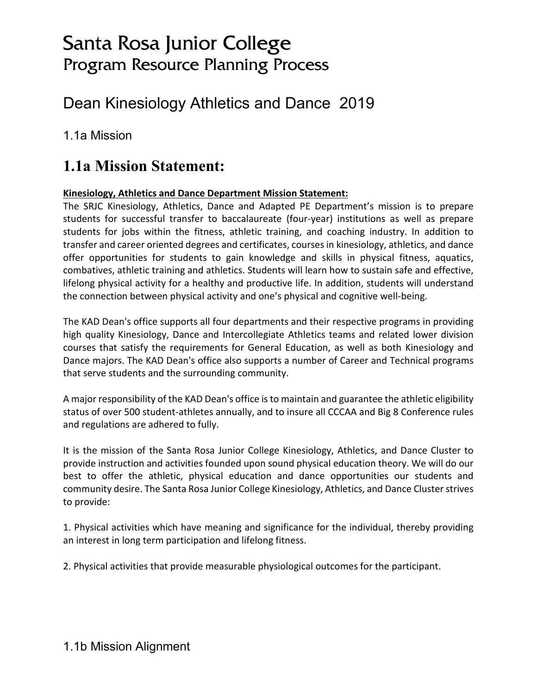# Santa Rosa Junior College Program Resource Planning Process

# Dean Kinesiology Athletics and Dance 2019

1.1a Mission

## **1.1a Mission Statement:**

#### **Kinesiology, Athletics and Dance Department Mission Statement:**

The SRJC Kinesiology, Athletics, Dance and Adapted PE Department's mission is to prepare students for successful transfer to baccalaureate (four-year) institutions as well as prepare students for jobs within the fitness, athletic training, and coaching industry. In addition to transfer and career oriented degrees and certificates, courses in kinesiology, athletics, and dance offer opportunities for students to gain knowledge and skills in physical fitness, aquatics, combatives, athletic training and athletics. Students will learn how to sustain safe and effective, lifelong physical activity for a healthy and productive life. In addition, students will understand the connection between physical activity and one's physical and cognitive well-being.

The KAD Dean's office supports all four departments and their respective programs in providing high quality Kinesiology, Dance and Intercollegiate Athletics teams and related lower division courses that satisfy the requirements for General Education, as well as both Kinesiology and Dance majors. The KAD Dean's office also supports a number of Career and Technical programs that serve students and the surrounding community.

A major responsibility of the KAD Dean's office is to maintain and guarantee the athletic eligibility status of over 500 student-athletes annually, and to insure all CCCAA and Big 8 Conference rules and regulations are adhered to fully.

It is the mission of the Santa Rosa Junior College Kinesiology, Athletics, and Dance Cluster to provide instruction and activities founded upon sound physical education theory. We will do our best to offer the athletic, physical education and dance opportunities our students and community desire. The Santa Rosa Junior College Kinesiology, Athletics, and Dance Cluster strives to provide:

1. Physical activities which have meaning and significance for the individual, thereby providing an interest in long term participation and lifelong fitness.

2. Physical activities that provide measurable physiological outcomes for the participant.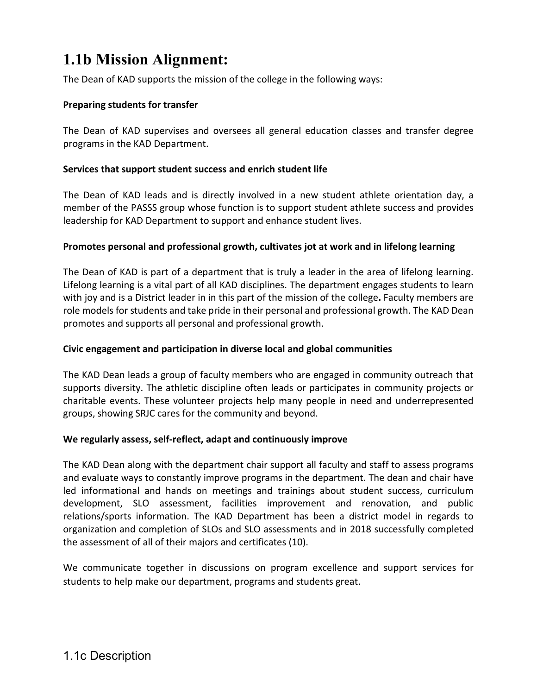# **1.1b Mission Alignment:**

The Dean of KAD supports the mission of the college in the following ways:

#### **Preparing students for transfer**

The Dean of KAD supervises and oversees all general education classes and transfer degree programs in the KAD Department.

#### **Services that support student success and enrich student life**

The Dean of KAD leads and is directly involved in a new student athlete orientation day, a member of the PASSS group whose function is to support student athlete success and provides leadership for KAD Department to support and enhance student lives.

#### **Promotes personal and professional growth, cultivates jot at work and in lifelong learning**

The Dean of KAD is part of a department that is truly a leader in the area of lifelong learning. Lifelong learning is a vital part of all KAD disciplines. The department engages students to learn with joy and is a District leader in in this part of the mission of the college**.** Faculty members are role models for students and take pride in their personal and professional growth. The KAD Dean promotes and supports all personal and professional growth.

#### **Civic engagement and participation in diverse local and global communities**

The KAD Dean leads a group of faculty members who are engaged in community outreach that supports diversity. The athletic discipline often leads or participates in community projects or charitable events. These volunteer projects help many people in need and underrepresented groups, showing SRJC cares for the community and beyond.

#### **We regularly assess, self-reflect, adapt and continuously improve**

The KAD Dean along with the department chair support all faculty and staff to assess programs and evaluate ways to constantly improve programs in the department. The dean and chair have led informational and hands on meetings and trainings about student success, curriculum development, SLO assessment, facilities improvement and renovation, and public relations/sports information. The KAD Department has been a district model in regards to organization and completion of SLOs and SLO assessments and in 2018 successfully completed the assessment of all of their majors and certificates (10).

We communicate together in discussions on program excellence and support services for students to help make our department, programs and students great.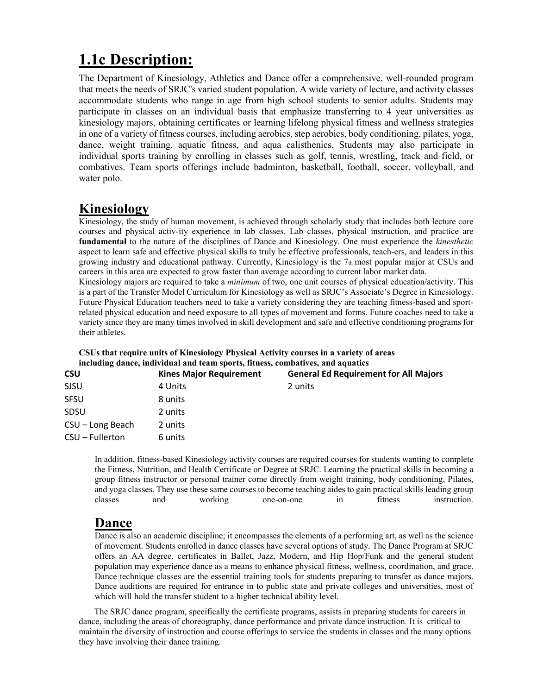# **1.1c Description:**

The Department of Kinesiology, Athletics and Dance offer a comprehensive, well-rounded program that meets the needs of SRJC's varied student population. A wide variety of lecture, and activity classes accommodate students who range in age from high school students to senior adults. Students may participate in classes on an individual basis that emphasize transferring to 4 year universities as kinesiology majors, obtaining certificates or learning lifelong physical fitness and wellness strategies in one of a variety of fitness courses, including aerobics, step aerobics, body conditioning, pilates, yoga, dance, weight training, aquatic fitness, and aqua calisthenics. Students may also participate in individual sports training by enrolling in classes such as golf, tennis, wrestling, track and field, or combatives. Team sports offerings include badminton, basketball, football, soccer, volleyball, and water polo.

## **Kinesiology**

Kinesiology, the study of human movement, is achieved through scholarly study that includes both lecture core courses and physical activ-ity experience in lab classes. Lab classes, physical instruction, and practice are **fundamental** to the nature of the disciplines of Dance and Kinesiology. One must experience the *kinesthetic*  aspect to learn safe and effective physical skills to truly be effective professionals, teach-ers, and leaders in this growing industry and educational pathway. Currently, Kinesiology is the 7th most popular major at CSUs and careers in this area are expected to grow faster than average according to current labor market data.

Kinesiology majors are required to take a *minimum* of two, one unit courses of physical education/activity. This is a part of the Transfer Model Curriculum for Kinesiology as well as SRJC's Associate's Degree in Kinesiology. Future Physical Education teachers need to take a variety considering they are teaching fitness-based and sportrelated physical education and need exposure to all types of movement and forms. Future coaches need to take a variety since they are many times involved in skill development and safe and effective conditioning programs for their athletes.

#### **CSUs that require units of Kinesiology Physical Activity courses in a variety of areas including dance, individual and team sports, fitness, combatives, and aquatics**

| <b>General Ed Requirement for All Majors</b> |
|----------------------------------------------|
|                                              |
|                                              |
|                                              |
|                                              |
|                                              |
|                                              |

In addition, fitness-based Kinesiology activity courses are required courses for students wanting to complete the Fitness, Nutrition, and Health Certificate or Degree at SRJC. Learning the practical skills in becoming a group fitness instructor or personal trainer come directly from weight training, body conditioning, Pilates, and yoga classes. They use these same courses to become teaching aides to gain practical skills leading group classes and working one-on-one in fitness instruction classes and working one-on-one in fitness instruction.

## **Dance**

Dance is also an academic discipline; it encompasses the elements of a performing art, as well as the science of movement. Students enrolled in dance classes have several options of study. The Dance Program at SRJC offers an AA degree, certificates in Ballet, Jazz, Modern, and Hip Hop/Funk and the general student population may experience dance as a means to enhance physical fitness, wellness, coordination, and grace. Dance technique classes are the essential training tools for students preparing to transfer as dance majors. Dance auditions are required for entrance in to public state and private colleges and universities, most of which will hold the transfer student to a higher technical ability level.

 The SRJC dance program, specifically the certificate programs, assists in preparing students for careers in dance, including the areas of choreography, dance performance and private dance instruction. It is critical to maintain the diversity of instruction and course offerings to service the students in classes and the many options they have involving their dance training.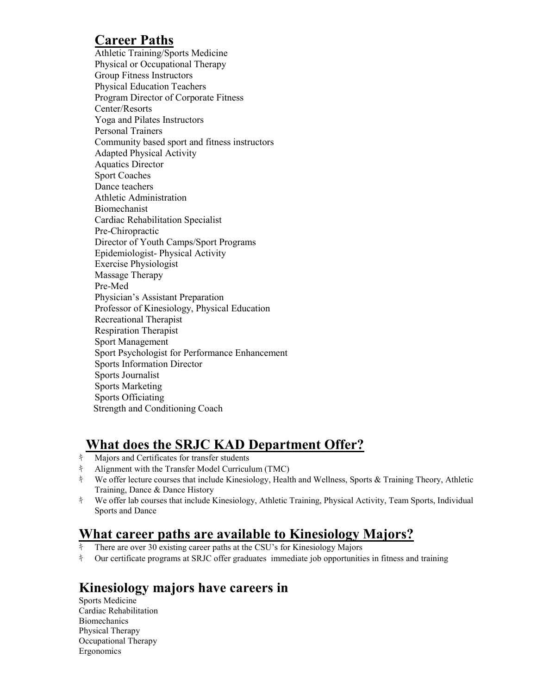## **Career Paths**

Athletic Training/Sports Medicine Physical or Occupational Therapy Group Fitness Instructors Physical Education Teachers Program Director of Corporate Fitness Center/Resorts Yoga and Pilates Instructors Personal Trainers Community based sport and fitness instructors Adapted Physical Activity Aquatics Director Sport Coaches Dance teachers Athletic Administration Biomechanist Cardiac Rehabilitation Specialist Pre-Chiropractic Director of Youth Camps/Sport Programs Epidemiologist- Physical Activity Exercise Physiologist Massage Therapy Pre-Med Physician's Assistant Preparation Professor of Kinesiology, Physical Education Recreational Therapist Respiration Therapist Sport Management Sport Psychologist for Performance Enhancement Sports Information Director Sports Journalist Sports Marketing Sports Officiating Strength and Conditioning Coach

## **What does the SRJC KAD Department Offer?**

- キ Majors and Certificates for transfer students
- キ Alignment with the Transfer Model Curriculum (TMC)
- キ We offer lecture courses that include Kinesiology, Health and Wellness, Sports & Training Theory, Athletic Training, Dance & Dance History
- キ We offer lab courses that include Kinesiology, Athletic Training, Physical Activity, Team Sports, Individual Sports and Dance

## **What career paths are available to Kinesiology Majors?**

- $\frac{1}{3}$  There are over 30 existing career paths at the CSU's for Kinesiology Majors
- キ Our certificate programs at SRJC offer graduates immediate job opportunities in fitness and training

## **Kinesiology majors have careers in**

Sports Medicine Cardiac Rehabilitation **Biomechanics** Physical Therapy Occupational Therapy Ergonomics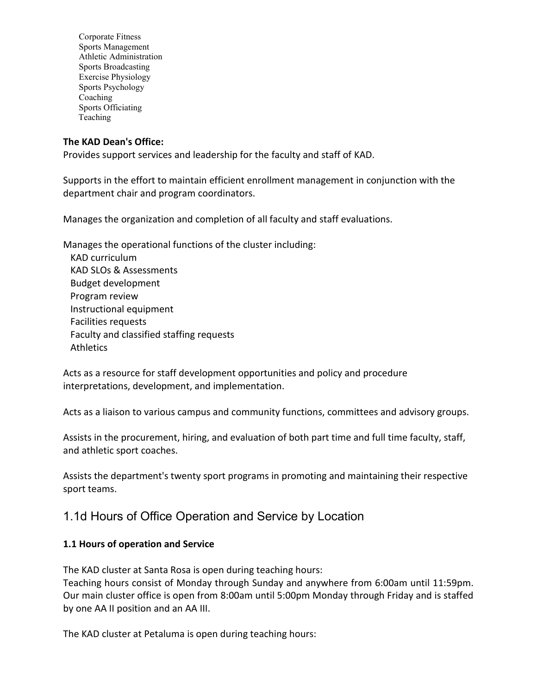Corporate Fitness Sports Management Athletic Administration Sports Broadcasting Exercise Physiology Sports Psychology Coaching Sports Officiating Teaching

#### **The KAD Dean's Office:**

Provides support services and leadership for the faculty and staff of KAD.

Supports in the effort to maintain efficient enrollment management in conjunction with the department chair and program coordinators.

Manages the organization and completion of all faculty and staff evaluations.

Manages the operational functions of the cluster including: KAD curriculum KAD SLOs & Assessments Budget development Program review Instructional equipment Facilities requests Faculty and classified staffing requests

**Athletics** 

Acts as a resource for staff development opportunities and policy and procedure interpretations, development, and implementation.

Acts as a liaison to various campus and community functions, committees and advisory groups.

Assists in the procurement, hiring, and evaluation of both part time and full time faculty, staff, and athletic sport coaches.

Assists the department's twenty sport programs in promoting and maintaining their respective sport teams.

## 1.1d Hours of Office Operation and Service by Location

#### **1.1 Hours of operation and Service**

The KAD cluster at Santa Rosa is open during teaching hours:

Teaching hours consist of Monday through Sunday and anywhere from 6:00am until 11:59pm. Our main cluster office is open from 8:00am until 5:00pm Monday through Friday and is staffed by one AA II position and an AA III.

The KAD cluster at Petaluma is open during teaching hours: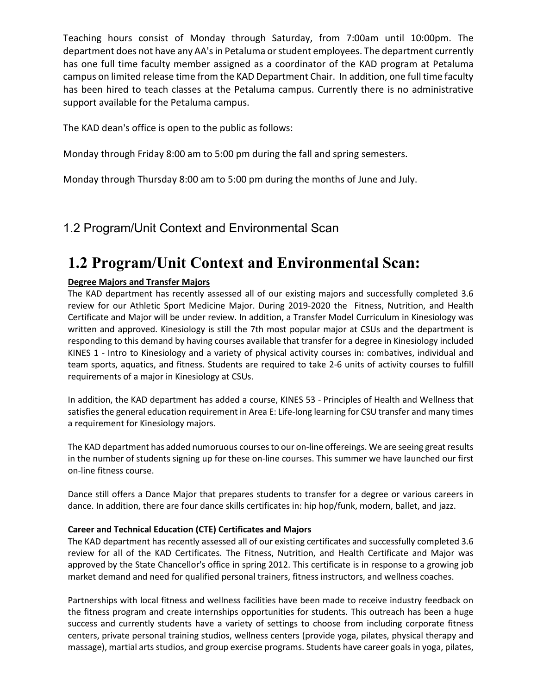Teaching hours consist of Monday through Saturday, from 7:00am until 10:00pm. The department does not have any AA's in Petaluma or student employees. The department currently has one full time faculty member assigned as a coordinator of the KAD program at Petaluma campus on limited release time from the KAD Department Chair. In addition, one full time faculty has been hired to teach classes at the Petaluma campus. Currently there is no administrative support available for the Petaluma campus.

The KAD dean's office is open to the public as follows:

Monday through Friday 8:00 am to 5:00 pm during the fall and spring semesters.

Monday through Thursday 8:00 am to 5:00 pm during the months of June and July.

## 1.2 Program/Unit Context and Environmental Scan

## **1.2 Program/Unit Context and Environmental Scan:**

#### **Degree Majors and Transfer Majors**

The KAD department has recently assessed all of our existing majors and successfully completed 3.6 review for our Athletic Sport Medicine Major. During 2019-2020 the Fitness, Nutrition, and Health Certificate and Major will be under review. In addition, a Transfer Model Curriculum in Kinesiology was written and approved. Kinesiology is still the 7th most popular major at CSUs and the department is responding to this demand by having courses available that transfer for a degree in Kinesiology included KINES 1 - Intro to Kinesiology and a variety of physical activity courses in: combatives, individual and team sports, aquatics, and fitness. Students are required to take 2-6 units of activity courses to fulfill requirements of a major in Kinesiology at CSUs.

In addition, the KAD department has added a course, KINES 53 - Principles of Health and Wellness that satisfies the general education requirement in Area E: Life-long learning for CSU transfer and many times a requirement for Kinesiology majors.

The KAD department has added numoruous courses to our on-line offereings. We are seeing great results in the number of students signing up for these on-line courses. This summer we have launched our first on-line fitness course.

Dance still offers a Dance Major that prepares students to transfer for a degree or various careers in dance. In addition, there are four dance skills certificates in: hip hop/funk, modern, ballet, and jazz.

#### **Career and Technical Education (CTE) Certificates and Majors**

The KAD department has recently assessed all of our existing certificates and successfully completed 3.6 review for all of the KAD Certificates. The Fitness, Nutrition, and Health Certificate and Major was approved by the State Chancellor's office in spring 2012. This certificate is in response to a growing job market demand and need for qualified personal trainers, fitness instructors, and wellness coaches.

Partnerships with local fitness and wellness facilities have been made to receive industry feedback on the fitness program and create internships opportunities for students. This outreach has been a huge success and currently students have a variety of settings to choose from including corporate fitness centers, private personal training studios, wellness centers (provide yoga, pilates, physical therapy and massage), martial arts studios, and group exercise programs. Students have career goals in yoga, pilates,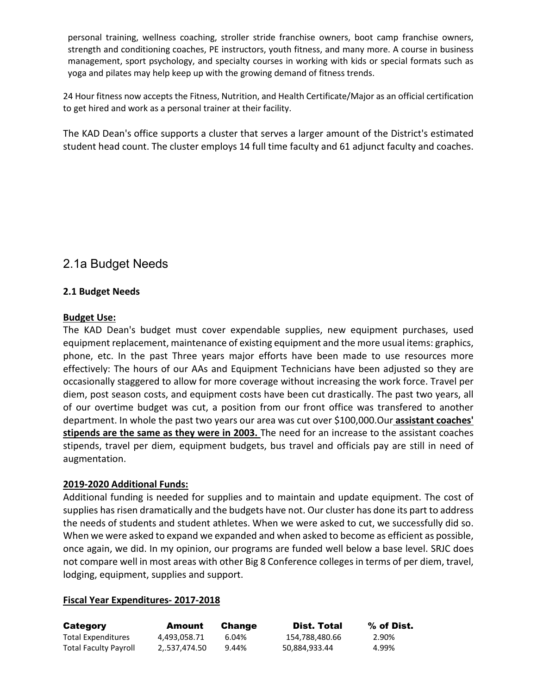personal training, wellness coaching, stroller stride franchise owners, boot camp franchise owners, strength and conditioning coaches, PE instructors, youth fitness, and many more. A course in business management, sport psychology, and specialty courses in working with kids or special formats such as yoga and pilates may help keep up with the growing demand of fitness trends.

24 Hour fitness now accepts the Fitness, Nutrition, and Health Certificate/Major as an official certification to get hired and work as a personal trainer at their facility.

The KAD Dean's office supports a cluster that serves a larger amount of the District's estimated student head count. The cluster employs 14 full time faculty and 61 adjunct faculty and coaches.

## 2.1a Budget Needs

#### **2.1 Budget Needs**

#### **Budget Use:**

The KAD Dean's budget must cover expendable supplies, new equipment purchases, used equipment replacement, maintenance of existing equipment and the more usual items: graphics, phone, etc. In the past Three years major efforts have been made to use resources more effectively: The hours of our AAs and Equipment Technicians have been adjusted so they are occasionally staggered to allow for more coverage without increasing the work force. Travel per diem, post season costs, and equipment costs have been cut drastically. The past two years, all of our overtime budget was cut, a position from our front office was transfered to another department. In whole the past two years our area was cut over \$100,000.Our **assistant coaches' stipends are the same as they were in 2003.** The need for an increase to the assistant coaches stipends, travel per diem, equipment budgets, bus travel and officials pay are still in need of augmentation.

#### **2019-2020 Additional Funds:**

Additional funding is needed for supplies and to maintain and update equipment. The cost of supplies has risen dramatically and the budgets have not. Our cluster has done its part to address the needs of students and student athletes. When we were asked to cut, we successfully did so. When we were asked to expand we expanded and when asked to become as efficient as possible, once again, we did. In my opinion, our programs are funded well below a base level. SRJC does not compare well in most areas with other Big 8 Conference colleges in terms of per diem, travel, lodging, equipment, supplies and support.

#### **Fiscal Year Expenditures- 2017-2018**

| Category                     | Amount       | <b>Change</b> | Dist. Total    | % of Dist. |
|------------------------------|--------------|---------------|----------------|------------|
| <b>Total Expenditures</b>    | 4.493.058.71 | 6.04%         | 154,788,480.66 | 2.90%      |
| <b>Total Faculty Payroll</b> | 2537.474.50  | 9.44%         | 50,884,933.44  | 4.99%      |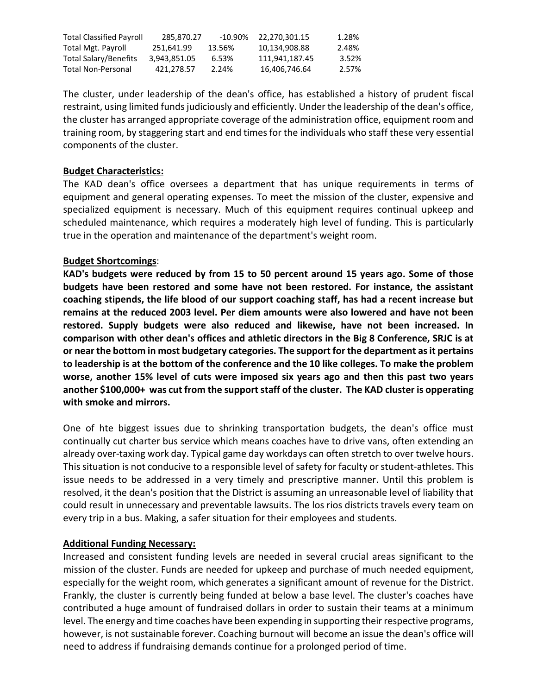| <b>Total Classified Payroll</b> | 285.870.27   | -10.90% | 22.270.301.15  | 1.28% |
|---------------------------------|--------------|---------|----------------|-------|
| Total Mgt. Payroll              | 251.641.99   | 13.56%  | 10.134.908.88  | 2.48% |
| Total Salary/Benefits           | 3.943.851.05 | 6.53%   | 111.941.187.45 | 3.52% |
| Total Non-Personal              | 421.278.57   | 2.24%   | 16.406.746.64  | 2.57% |

The cluster, under leadership of the dean's office, has established a history of prudent fiscal restraint, using limited funds judiciously and efficiently. Under the leadership of the dean's office, the cluster has arranged appropriate coverage of the administration office, equipment room and training room, by staggering start and end times for the individuals who staff these very essential components of the cluster.

#### **Budget Characteristics:**

The KAD dean's office oversees a department that has unique requirements in terms of equipment and general operating expenses. To meet the mission of the cluster, expensive and specialized equipment is necessary. Much of this equipment requires continual upkeep and scheduled maintenance, which requires a moderately high level of funding. This is particularly true in the operation and maintenance of the department's weight room.

#### **Budget Shortcomings**:

**KAD's budgets were reduced by from 15 to 50 percent around 15 years ago. Some of those budgets have been restored and some have not been restored. For instance, the assistant coaching stipends, the life blood of our support coaching staff, has had a recent increase but remains at the reduced 2003 level. Per diem amounts were also lowered and have not been restored. Supply budgets were also reduced and likewise, have not been increased. In comparison with other dean's offices and athletic directors in the Big 8 Conference, SRJC is at or near the bottom in most budgetary categories. The support for the department as it pertains to leadership is at the bottom of the conference and the 10 like colleges. To make the problem worse, another 15% level of cuts were imposed six years ago and then this past two years another \$100,000+ was cut from the support staff of the cluster. The KAD cluster is opperating with smoke and mirrors.**

One of hte biggest issues due to shrinking transportation budgets, the dean's office must continually cut charter bus service which means coaches have to drive vans, often extending an already over-taxing work day. Typical game day workdays can often stretch to over twelve hours. This situation is not conducive to a responsible level of safety for faculty or student-athletes. This issue needs to be addressed in a very timely and prescriptive manner. Until this problem is resolved, it the dean's position that the District is assuming an unreasonable level of liability that could result in unnecessary and preventable lawsuits. The los rios districts travels every team on every trip in a bus. Making, a safer situation for their employees and students.

#### **Additional Funding Necessary:**

Increased and consistent funding levels are needed in several crucial areas significant to the mission of the cluster. Funds are needed for upkeep and purchase of much needed equipment, especially for the weight room, which generates a significant amount of revenue for the District. Frankly, the cluster is currently being funded at below a base level. The cluster's coaches have contributed a huge amount of fundraised dollars in order to sustain their teams at a minimum level. The energy and time coaches have been expending in supporting their respective programs, however, is not sustainable forever. Coaching burnout will become an issue the dean's office will need to address if fundraising demands continue for a prolonged period of time.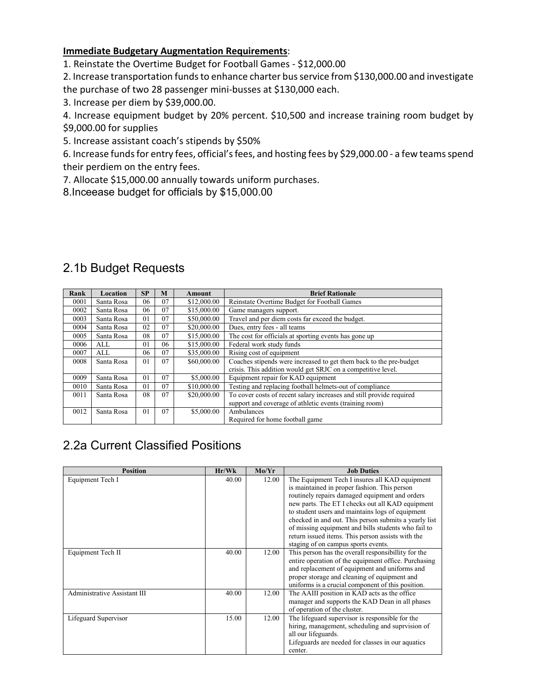#### **Immediate Budgetary Augmentation Requirements**:

1. Reinstate the Overtime Budget for Football Games - \$12,000.00

2. Increase transportation funds to enhance charter bus service from \$130,000.00 and investigate the purchase of two 28 passenger mini-busses at \$130,000 each.

3. Increase per diem by \$39,000.00.

4. Increase equipment budget by 20% percent. \$10,500 and increase training room budget by \$9,000.00 for supplies

5. Increase assistant coach's stipends by \$50%

6. Increase funds for entry fees, official's fees, and hosting fees by \$29,000.00 - a few teams spend their perdiem on the entry fees.

7. Allocate \$15,000.00 annually towards uniform purchases.

8.Inceease budget for officials by \$15,000.00

| Rank | Location   | SP             | M  | Amount      | <b>Brief Rationale</b>                                               |
|------|------------|----------------|----|-------------|----------------------------------------------------------------------|
| 0001 | Santa Rosa | 06             | 07 | \$12,000.00 | Reinstate Overtime Budget for Football Games                         |
| 0002 | Santa Rosa | 06             | 07 | \$15,000.00 | Game managers support.                                               |
| 0003 | Santa Rosa | 01             | 07 | \$50,000.00 | Travel and per diem costs far exceed the budget.                     |
| 0004 | Santa Rosa | 02             | 07 | \$20,000.00 | Dues, entry fees - all teams                                         |
| 0005 | Santa Rosa | 08             | 07 | \$15,000.00 | The cost for officials at sporting events has gone up                |
| 0006 | ALL        | 01             | 06 | \$15,000.00 | Federal work study funds                                             |
| 0007 | ALL        | 06             | 07 | \$35,000.00 | Rising cost of equipment                                             |
| 0008 | Santa Rosa | 01             | 07 | \$60,000.00 | Coaches stipends were increased to get them back to the pre-budget   |
|      |            |                |    |             | crisis. This addition would get SRJC on a competitive level.         |
| 0009 | Santa Rosa | 01             | 07 | \$5,000.00  | Equipment repair for KAD equipment                                   |
| 0010 | Santa Rosa | 0 <sub>1</sub> | 07 | \$10,000.00 | Testing and replacing football helmets-out of compliance             |
| 0011 | Santa Rosa | 08             | 07 | \$20,000.00 | To cover costs of recent salary increases and still provide required |
|      |            |                |    |             | support and coverage of athletic events (training room)              |
| 0012 | Santa Rosa | 01             | 07 | \$5,000.00  | Ambulances                                                           |
|      |            |                |    |             | Required for home football game                                      |

## 2.1b Budget Requests

## 2.2a Current Classified Positions

| <b>Position</b>              | Hr/Wk | Mo/Yr | <b>Job Duties</b>                                     |
|------------------------------|-------|-------|-------------------------------------------------------|
| Equipment Tech I             | 40.00 | 12.00 | The Equipment Tech I insures all KAD equipment        |
|                              |       |       | is maintained in proper fashion. This person          |
|                              |       |       | routinely repairs damaged equipment and orders        |
|                              |       |       | new parts. The ET I checks out all KAD equipment      |
|                              |       |       | to student users and maintains logs of equipment      |
|                              |       |       | checked in and out. This person submits a yearly list |
|                              |       |       | of missing equipment and bills students who fail to   |
|                              |       |       | return issued items. This person assists with the     |
|                              |       |       | staging of on campus sports events.                   |
| Equipment Tech II            | 40.00 | 12.00 | This person has the overall responsibility for the    |
|                              |       |       | entire operation of the equipment office. Purchasing  |
|                              |       |       | and replacement of equipment and uniforms and         |
|                              |       |       | proper storage and cleaning of equipment and          |
|                              |       |       | uniforms is a crucial component of this position.     |
| Administrative Assistant III | 40.00 | 12.00 | The AAIII position in KAD acts as the office.         |
|                              |       |       | manager and supports the KAD Dean in all phases       |
|                              |       |       | of operation of the cluster.                          |
| Lifeguard Supervisor         | 15.00 | 12.00 | The lifeguard supervisor is responsible for the       |
|                              |       |       | hiring, management, scheduling and suprvision of      |
|                              |       |       | all our lifeguards.                                   |
|                              |       |       | Lifeguards are needed for classes in our aquatics     |
|                              |       |       | center.                                               |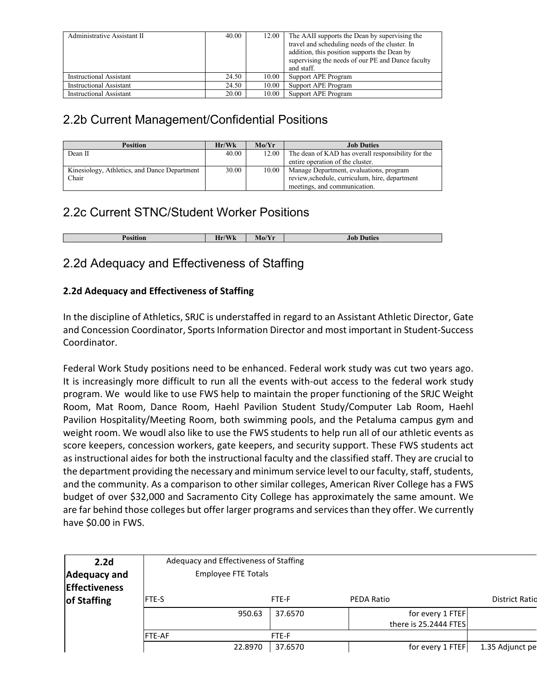| Administrative Assistant II    | 40.00 | 12.00 | The AAII supports the Dean by supervising the<br>travel and scheduling needs of the cluster. In<br>addition, this position supports the Dean by<br>supervising the needs of our PE and Dance faculty<br>and staff. |
|--------------------------------|-------|-------|--------------------------------------------------------------------------------------------------------------------------------------------------------------------------------------------------------------------|
| Instructional Assistant        | 24.50 | 10.00 | Support APE Program                                                                                                                                                                                                |
| <b>Instructional Assistant</b> | 24.50 | 10.00 | Support APE Program                                                                                                                                                                                                |
| <b>Instructional Assistant</b> | 20.00 | 10.00 | Support APE Program                                                                                                                                                                                                |

## 2.2b Current Management/Confidential Positions

| <b>Position</b>                              | Hr/Wk | Mo/Yr | <b>Job Duties</b>                                  |
|----------------------------------------------|-------|-------|----------------------------------------------------|
| Dean II                                      | 40.00 | 12.00 | The dean of KAD has overall responsibility for the |
|                                              |       |       | entire operation of the cluster.                   |
| Kinesiology, Athletics, and Dance Department | 30.00 | 10.00 | Manage Department, evaluations, program            |
| Chair                                        |       |       | review, schedule, curriculum, hire, department     |
|                                              |       |       | meetings, and communication.                       |

## 2.2c Current STNC/Student Worker Positions

| Position | $T$ $T$ $T$<br>-<br><b>WK</b><br>лг | $\sqrt{2}$<br>$MOY$ .<br>. | Duties<br>.iob |
|----------|-------------------------------------|----------------------------|----------------|

## 2.2d Adequacy and Effectiveness of Staffing

#### **2.2d Adequacy and Effectiveness of Staffing**

In the discipline of Athletics, SRJC is understaffed in regard to an Assistant Athletic Director, Gate and Concession Coordinator, Sports Information Director and most important in Student-Success Coordinator.

Federal Work Study positions need to be enhanced. Federal work study was cut two years ago. It is increasingly more difficult to run all the events with-out access to the federal work study program. We would like to use FWS help to maintain the proper functioning of the SRJC Weight Room, Mat Room, Dance Room, Haehl Pavilion Student Study/Computer Lab Room, Haehl Pavilion Hospitality/Meeting Room, both swimming pools, and the Petaluma campus gym and weight room. We woudl also like to use the FWS students to help run all of our athletic events as score keepers, concession workers, gate keepers, and security support. These FWS students act as instructional aides for both the instructional faculty and the classified staff. They are crucial to the department providing the necessary and minimum service level to our faculty, staff, students, and the community. As a comparison to other similar colleges, American River College has a FWS budget of over \$32,000 and Sacramento City College has approximately the same amount. We are far behind those colleges but offer larger programs and services than they offer. We currently have \$0.00 in FWS.

| 2.2 <sub>d</sub>     |               | Adequacy and Effectiveness of Staffing |         |                       |                       |  |  |
|----------------------|---------------|----------------------------------------|---------|-----------------------|-----------------------|--|--|
| Adequacy and         |               | <b>Employee FTE Totals</b>             |         |                       |                       |  |  |
| <b>Effectiveness</b> |               |                                        |         |                       |                       |  |  |
| of Staffing          | <b>FTE-S</b>  |                                        | FTE-F   | <b>PEDA Ratio</b>     | <b>District Ratio</b> |  |  |
|                      |               | 950.63                                 | 37.6570 | for every 1 FTEF      |                       |  |  |
|                      |               |                                        |         | there is 25.2444 FTES |                       |  |  |
|                      | <b>FTE-AF</b> |                                        | FTE-F   |                       |                       |  |  |
|                      |               | 22.8970                                | 37.6570 | for every 1 FTEF      | 1.35 Adjunct pe       |  |  |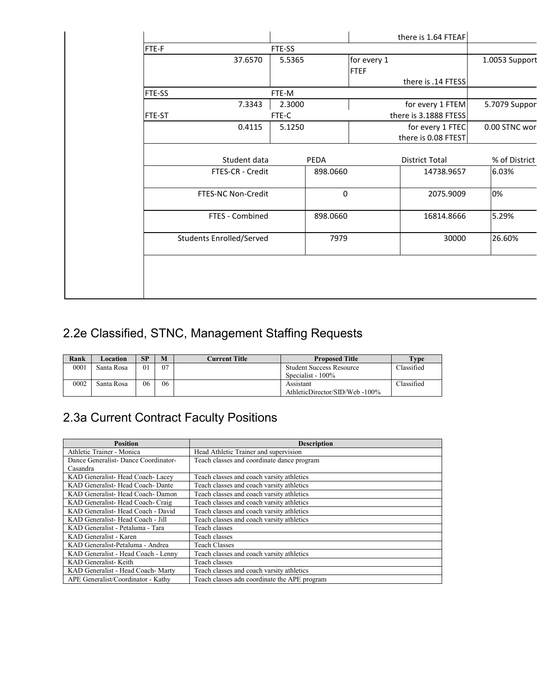|               |                                 |        |          |             | there is 1.64 FTEAF   |                |
|---------------|---------------------------------|--------|----------|-------------|-----------------------|----------------|
| FTE-F         |                                 | FTE-SS |          |             |                       |                |
|               | 37.6570                         | 5.5365 |          | for every 1 |                       | 1.0053 Support |
|               |                                 |        |          | <b>FTEF</b> |                       |                |
|               |                                 |        |          |             | there is .14 FTESS    |                |
| FTE-SS        |                                 | FTE-M  |          |             |                       |                |
|               | 7.3343                          | 2.3000 |          |             | for every 1 FTEM      | 5.7079 Suppor  |
| <b>FTE-ST</b> |                                 | FTE-C  |          |             | there is 3.1888 FTESS |                |
|               | 0.4115                          | 5.1250 |          |             | for every 1 FTEC      | 0.00 STNC wor  |
|               |                                 |        |          |             | there is 0.08 FTEST   |                |
|               |                                 |        |          |             |                       |                |
|               | Student data                    |        | PEDA     |             | <b>District Total</b> | % of District  |
|               | FTES-CR - Credit                |        | 898.0660 |             | 14738.9657            | 6.03%          |
|               |                                 |        |          |             |                       |                |
|               | FTES-NC Non-Credit              |        | 0        |             | 2075.9009             | 0%             |
|               |                                 |        |          |             |                       |                |
|               | FTES - Combined                 |        | 898.0660 |             | 16814.8666            | 5.29%          |
|               |                                 |        |          |             |                       |                |
|               | <b>Students Enrolled/Served</b> |        | 7979     |             | 30000                 | 26.60%         |
|               |                                 |        |          |             |                       |                |
|               |                                 |        |          |             |                       |                |
|               |                                 |        |          |             |                       |                |
|               |                                 |        |          |             |                       |                |
|               |                                 |        |          |             |                       |                |

## 2.2e Classified, STNC, Management Staffing Requests

| Rank | Location   | SP      | M  | Current Title | <b>Proposed Title</b>                                | Fype       |
|------|------------|---------|----|---------------|------------------------------------------------------|------------|
| 0001 | Santa Rosa | $^{01}$ | 07 |               | <b>Student Success Resource</b><br>Specialist - 100% | Classified |
| 0002 | Santa Rosa | 06      | 06 |               | Assistant<br>AthleticDirector/SID/Web-100%           | Classified |

## 2.3a Current Contract Faculty Positions

| <b>Position</b>                     | <b>Description</b>                           |
|-------------------------------------|----------------------------------------------|
| Athletic Trainer - Monica           | Head Athletic Trainer and supervision        |
| Dance Generalist-Dance Coordinator- | Teach classes and coordinate dance program   |
| Casandra                            |                                              |
| KAD Generalist-Head Coach-Lacey     | Teach classes and coach varsity athletics    |
| KAD Generalist-Head Coach-Dante     | Teach classes and coach varsity athletics    |
| KAD Generalist- Head Coach-Damon    | Teach classes and coach varsity athletics    |
| KAD Generalist-Head Coach-Craig     | Teach classes and coach varsity athletics    |
| KAD Generalist-Head Coach - David   | Teach classes and coach varsity athletics    |
| KAD Generalist-Head Coach - Jill    | Teach classes and coach varsity athletics    |
| KAD Generalist - Petaluma - Tara    | Teach classes                                |
| KAD Generalist - Karen              | Teach classes                                |
| KAD Generalist-Petaluma - Andrea    | <b>Teach Classes</b>                         |
| KAD Generalist - Head Coach - Lenny | Teach classes and coach varsity athletics    |
| KAD Generalist-Keith                | Teach classes                                |
| KAD Generalist - Head Coach-Marty   | Teach classes and coach varsity athletics    |
| APE Generalist/Coordinator - Kathy  | Teach classes adn coordinate the APE program |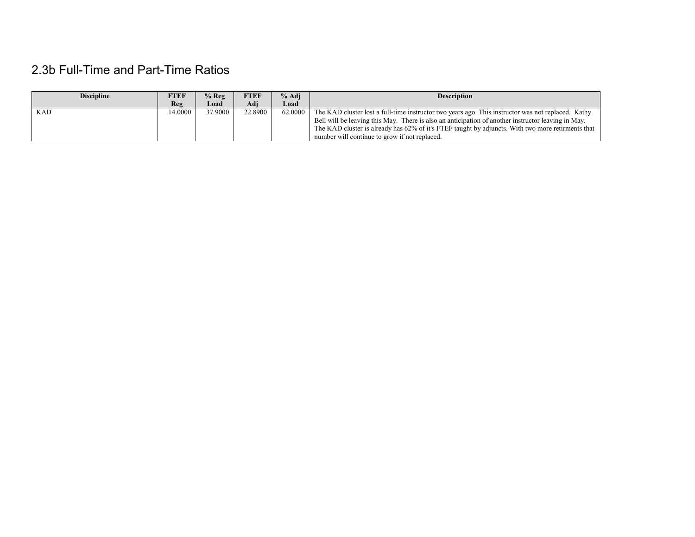## 2.3b Full-Time and Part-Time Ratios

| <b>Discipline</b> | FTEF   | $%$ Reg | FTEF    | % Adj   | <b>Description</b>                                                                                 |
|-------------------|--------|---------|---------|---------|----------------------------------------------------------------------------------------------------|
|                   | Reg    | Load    | Adi     | Load    |                                                                                                    |
| <b>KAD</b>        | 4.0000 | 37.9000 | 22.8900 | 62.0000 | The KAD cluster lost a full-time instructor two years ago. This instructor was not replaced. Kathy |
|                   |        |         |         |         | Bell will be leaving this May. There is also an anticipation of another instructor leaving in May. |
|                   |        |         |         |         | The KAD cluster is already has 62% of it's FTEF taught by adjuncts. With two more retirments that  |
|                   |        |         |         |         | number will continue to grow if not replaced.                                                      |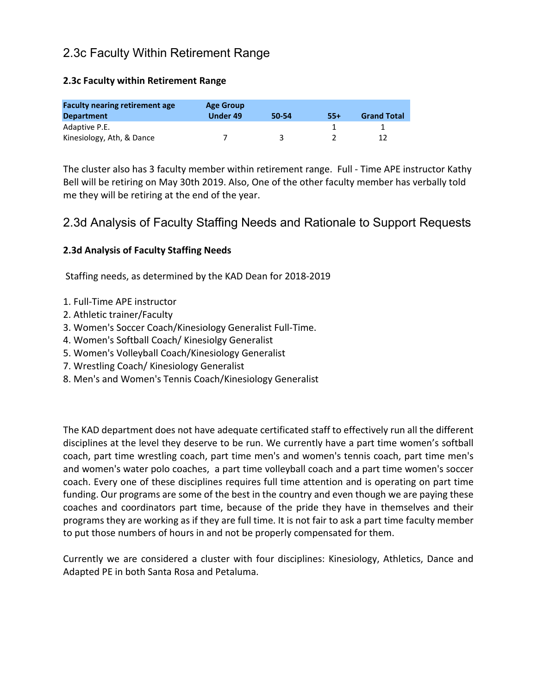## 2.3c Faculty Within Retirement Range

#### **2.3c Faculty within Retirement Range**

| <b>Faculty nearing retirement age</b><br><b>Department</b> | <b>Age Group</b><br>Under 49 | 50-54 | 55+ | <b>Grand Total</b> |
|------------------------------------------------------------|------------------------------|-------|-----|--------------------|
| Adaptive P.E.                                              |                              |       |     |                    |
| Kinesiology, Ath, & Dance                                  |                              |       |     |                    |

The cluster also has 3 faculty member within retirement range. Full - Time APE instructor Kathy Bell will be retiring on May 30th 2019. Also, One of the other faculty member has verbally told me they will be retiring at the end of the year.

### 2.3d Analysis of Faculty Staffing Needs and Rationale to Support Requests

#### **2.3d Analysis of Faculty Staffing Needs**

Staffing needs, as determined by the KAD Dean for 2018-2019

- 1. Full-Time APE instructor
- 2. Athletic trainer/Faculty
- 3. Women's Soccer Coach/Kinesiology Generalist Full-Time.
- 4. Women's Softball Coach/ Kinesiolgy Generalist
- 5. Women's Volleyball Coach/Kinesiology Generalist
- 7. Wrestling Coach/ Kinesiology Generalist
- 8. Men's and Women's Tennis Coach/Kinesiology Generalist

The KAD department does not have adequate certificated staff to effectively run all the different disciplines at the level they deserve to be run. We currently have a part time women's softball coach, part time wrestling coach, part time men's and women's tennis coach, part time men's and women's water polo coaches, a part time volleyball coach and a part time women's soccer coach. Every one of these disciplines requires full time attention and is operating on part time funding. Our programs are some of the best in the country and even though we are paying these coaches and coordinators part time, because of the pride they have in themselves and their programs they are working as if they are full time. It is not fair to ask a part time faculty member to put those numbers of hours in and not be properly compensated for them.

Currently we are considered a cluster with four disciplines: Kinesiology, Athletics, Dance and Adapted PE in both Santa Rosa and Petaluma.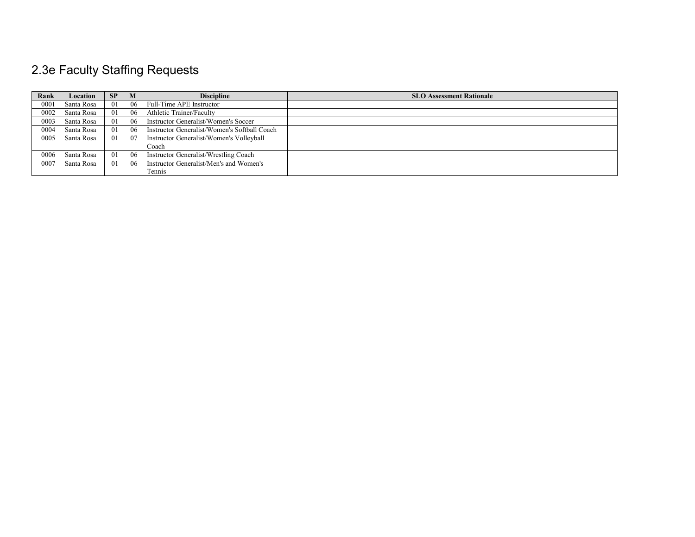# 2.3e Faculty Staffing Requests

| Rank | Location   | SP              | M  | <b>Discipline</b>                            | <b>SLO Assessment Rationale</b> |
|------|------------|-----------------|----|----------------------------------------------|---------------------------------|
| 0001 | Santa Rosa | 01              | 06 | Full-Time APE Instructor                     |                                 |
| 0002 | Santa Rosa | 01              | 06 | Athletic Trainer/Faculty                     |                                 |
| 0003 | Santa Rosa | 01              | 06 | Instructor Generalist/Women's Soccer         |                                 |
| 0004 | Santa Rosa | $\overline{0}$  | 06 | Instructor Generalist/Women's Softball Coach |                                 |
| 0005 | Santa Rosa | $\overline{01}$ | 07 | Instructor Generalist/Women's Volleyball     |                                 |
|      |            |                 |    | Coach                                        |                                 |
| 0006 | Santa Rosa | $\overline{0}$  | 06 | Instructor Generalist/Wrestling Coach        |                                 |
| 0007 | Santa Rosa | $\overline{0}$  | 06 | Instructor Generalist/Men's and Women's      |                                 |
|      |            |                 |    | Tennis                                       |                                 |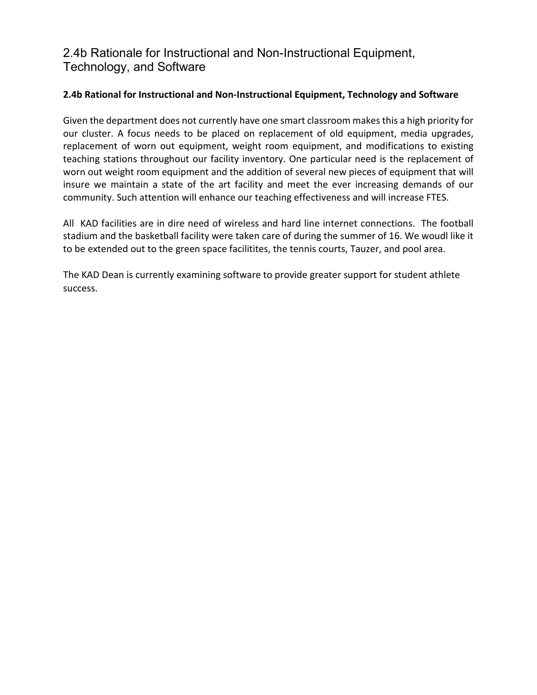## 2.4b Rationale for Instructional and Non-Instructional Equipment, Technology, and Software

#### **2.4b Rational for Instructional and Non-Instructional Equipment, Technology and Software**

Given the department does not currently have one smart classroom makes this a high priority for our cluster. A focus needs to be placed on replacement of old equipment, media upgrades, replacement of worn out equipment, weight room equipment, and modifications to existing teaching stations throughout our facility inventory. One particular need is the replacement of worn out weight room equipment and the addition of several new pieces of equipment that will insure we maintain a state of the art facility and meet the ever increasing demands of our community. Such attention will enhance our teaching effectiveness and will increase FTES.

All KAD facilities are in dire need of wireless and hard line internet connections. The football stadium and the basketball facility were taken care of during the summer of 16. We woudl like it to be extended out to the green space facilitites, the tennis courts, Tauzer, and pool area.

The KAD Dean is currently examining software to provide greater support for student athlete success.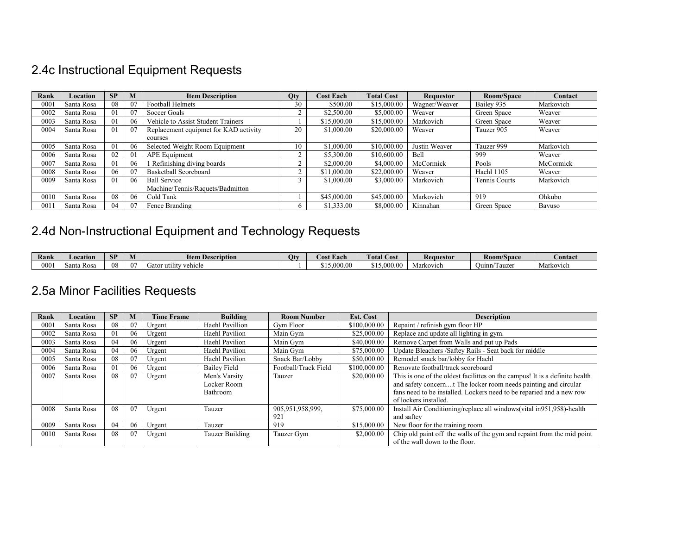## 2.4c Instructional Equipment Requests

| Rank | Location   | SP | M  | <b>Item Description</b>               | <b>Qty</b> | <b>Cost Each</b> | <b>Total Cost</b> | <b>Requestor</b> | Room/Space    | Contact   |
|------|------------|----|----|---------------------------------------|------------|------------------|-------------------|------------------|---------------|-----------|
| 0001 | Santa Rosa | 08 | 07 | <b>Football Helmets</b>               | 30         | \$500.00         | \$15,000.00       | Wagner/Weaver    | Bailey 935    | Markovich |
| 0002 | Santa Rosa | 01 | 07 | Soccer Goals                          |            | \$2,500.00       | \$5,000.00        | Weaver           | Green Space   | Weaver    |
| 0003 | Santa Rosa | 01 | 06 | Vehicle to Assist Student Trainers    |            | \$15,000.00      | \$15,000.00       | Markovich        | Green Space   | Weaver    |
| 0004 | Santa Rosa | 01 | 07 | Replacement equipmet for KAD activity | 20         | \$1,000.00       | \$20,000.00       | Weaver           | Tauzer 905    | Weaver    |
|      |            |    |    | courses                               |            |                  |                   |                  |               |           |
| 0005 | Santa Rosa | 01 | 06 | Selected Weight Room Equipment        | 10         | \$1,000.00       | \$10,000.00       | Justin Weaver    | Tauzer 999    | Markovich |
| 0006 | Santa Rosa | 02 | 01 | <b>APE Equipment</b>                  |            | \$5,300,00       | \$10,600.00       | Bell             | 999           | Weaver    |
| 0007 | Santa Rosa | 01 | 06 | Refinishing diving boards             |            | \$2,000.00       | \$4,000.00        | McCormick        | Pools         | McCormick |
| 0008 | Santa Rosa | 06 | 07 | Basketball Scoreboard                 |            | \$11,000.00      | \$22,000.00       | Weaver           | Haehl 1105    | Weaver    |
| 0009 | Santa Rosa | 01 | 06 | <b>Ball Service</b>                   |            | \$1,000.00       | \$3,000.00        | Markovich        | Tennis Courts | Markovich |
|      |            |    |    | Machine/Tennis/Raquets/Badmitton      |            |                  |                   |                  |               |           |
| 0010 | Santa Rosa | 08 | 06 | Cold Tank                             |            | \$45,000.00      | \$45,000.00       | Markovich        | 919           | Ohkubo    |
| 001  | Santa Rosa | 04 | 07 | Fence Branding                        |            | \$1,333.00       | \$8,000.00        | Kinnahan         | Green Space   | Bavuso    |

## 2.4d Non-Instructional Equipment and Technology Requests

| Rank | Locatior               | <b>CD</b><br>ЮI | W    | <b>Item Description</b>      | Otv | $\sim$<br>. Each<br>DS1. | <b>THE R.</b><br>! Cost<br><b>otal</b> | Requestor | <b>Room/Space</b>                             | <b>Contact</b> |
|------|------------------------|-----------------|------|------------------------------|-----|--------------------------|----------------------------------------|-----------|-----------------------------------------------|----------------|
| 000  | $\sim$<br>onto<br>Ros: | 08              | - 00 | <br>ehicle<br>utility<br>Jaw |     | .000.0                   | $\Omega$<br>0.00<br>91 J.UU            | Markovich | <b>Agrees</b><br>Juinn<br>l auze <sup>®</sup> | Markovich      |

## 2.5a Minor Facilities Requests

| Rank | Location   | SP | М  | <b>Time Frame</b> | <b>Building</b>                          | <b>Room Number</b>      | <b>Est. Cost</b> | <b>Description</b>                                                                                                                                                                                                                              |
|------|------------|----|----|-------------------|------------------------------------------|-------------------------|------------------|-------------------------------------------------------------------------------------------------------------------------------------------------------------------------------------------------------------------------------------------------|
| 0001 | Santa Rosa | 08 | 07 | Urgent            | Haehl Pavillion                          | Gym Floor               | \$100,000.00     | Repaint / refinish gym floor HP                                                                                                                                                                                                                 |
| 0002 | Santa Rosa | 01 | 06 | Urgent            | Haehl Pavilion                           | Main Gym                | \$25,000.00      | Replace and update all lighting in gym.                                                                                                                                                                                                         |
| 0003 | Santa Rosa | 04 | 06 | Urgent            | Haehl Pavilion                           | Main Gym                | \$40,000.00      | Remove Carpet from Walls and put up Pads                                                                                                                                                                                                        |
| 0004 | Santa Rosa | 04 | 06 | Urgent            | Haehl Pavilion                           | Main Gym                | \$75,000.00      | Update Bleachers /Saftey Rails - Seat back for middle                                                                                                                                                                                           |
| 0005 | Santa Rosa | 08 | 07 | Urgent            | Haehl Pavilion                           | Snack Bar/Lobby         | \$50,000.00      | Remodel snack bar/lobby for Haehl                                                                                                                                                                                                               |
| 0006 | Santa Rosa | 01 | 06 | Urgent            | <b>Bailey Field</b>                      | Football/Track Field    | \$100,000.00     | Renovate football/track scoreboard                                                                                                                                                                                                              |
| 0007 | Santa Rosa | 08 | 07 | Urgent            | Men's Varsity<br>Locker Room<br>Bathroom | Tauzer                  | \$20,000.00      | This is one of the oldest facilittes on the campus! It is a definite health<br>and safety concernt The locker room needs painting and circular<br>fans need to be installed. Lockers need to be reparied and a new row<br>of lockers installed. |
| 0008 | Santa Rosa | 08 | 07 | Urgent            | Tauzer                                   | 905,951,958,999,<br>921 | \$75,000.00      | Install Air Conditioning/replace all windows(vital in951,958)-health<br>and saftey                                                                                                                                                              |
| 0009 | Santa Rosa | 04 | 06 | Urgent            | Tauzer                                   | 919                     | \$15,000.00      | New floor for the training room                                                                                                                                                                                                                 |
| 0010 | Santa Rosa | 08 | 07 | Urgent            | Tauzer Building                          | Tauzer Gym              | \$2,000.00       | Chip old paint off the walls of the gym and repaint from the mid point<br>of the wall down to the floor.                                                                                                                                        |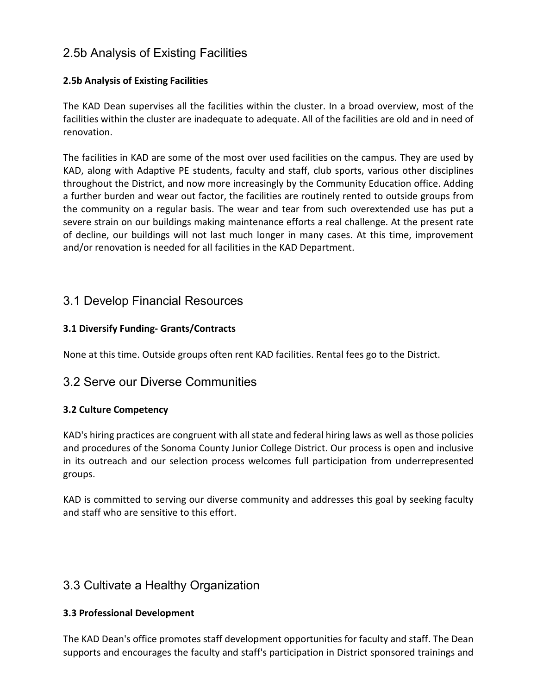## 2.5b Analysis of Existing Facilities

#### **2.5b Analysis of Existing Facilities**

The KAD Dean supervises all the facilities within the cluster. In a broad overview, most of the facilities within the cluster are inadequate to adequate. All of the facilities are old and in need of renovation.

The facilities in KAD are some of the most over used facilities on the campus. They are used by KAD, along with Adaptive PE students, faculty and staff, club sports, various other disciplines throughout the District, and now more increasingly by the Community Education office. Adding a further burden and wear out factor, the facilities are routinely rented to outside groups from the community on a regular basis. The wear and tear from such overextended use has put a severe strain on our buildings making maintenance efforts a real challenge. At the present rate of decline, our buildings will not last much longer in many cases. At this time, improvement and/or renovation is needed for all facilities in the KAD Department.

## 3.1 Develop Financial Resources

#### **3.1 Diversify Funding- Grants/Contracts**

None at this time. Outside groups often rent KAD facilities. Rental fees go to the District.

### 3.2 Serve our Diverse Communities

#### **3.2 Culture Competency**

KAD's hiring practices are congruent with all state and federal hiring laws as well as those policies and procedures of the Sonoma County Junior College District. Our process is open and inclusive in its outreach and our selection process welcomes full participation from underrepresented groups.

KAD is committed to serving our diverse community and addresses this goal by seeking faculty and staff who are sensitive to this effort.

## 3.3 Cultivate a Healthy Organization

#### **3.3 Professional Development**

The KAD Dean's office promotes staff development opportunities for faculty and staff. The Dean supports and encourages the faculty and staff's participation in District sponsored trainings and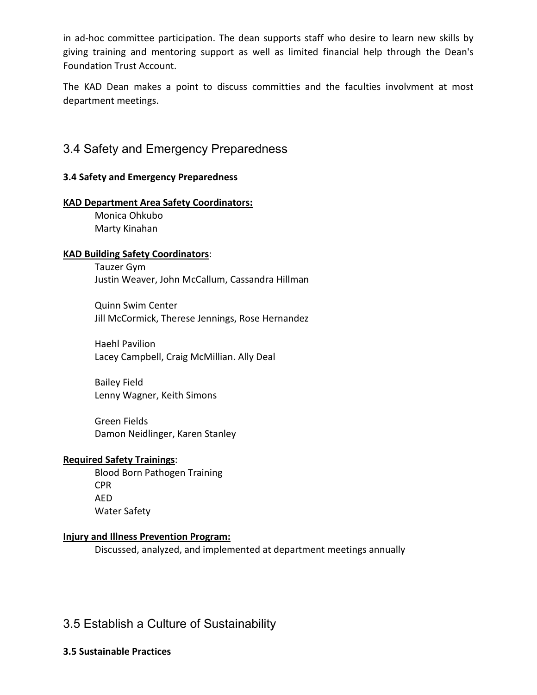in ad-hoc committee participation. The dean supports staff who desire to learn new skills by giving training and mentoring support as well as limited financial help through the Dean's Foundation Trust Account.

The KAD Dean makes a point to discuss committies and the faculties involvment at most department meetings.

### 3.4 Safety and Emergency Preparedness

#### **3.4 Safety and Emergency Preparedness**

#### **KAD Department Area Safety Coordinators:**

Monica Ohkubo Marty Kinahan

#### **KAD Building Safety Coordinators**:

Tauzer Gym Justin Weaver, John McCallum, Cassandra Hillman

Quinn Swim Center Jill McCormick, Therese Jennings, Rose Hernandez

Haehl Pavilion Lacey Campbell, Craig McMillian. Ally Deal

Bailey Field Lenny Wagner, Keith Simons

Green Fields Damon Neidlinger, Karen Stanley

#### **Required Safety Trainings**:

Blood Born Pathogen Training CPR AED Water Safety

#### **Injury and Illness Prevention Program:**

Discussed, analyzed, and implemented at department meetings annually

## 3.5 Establish a Culture of Sustainability

#### **3.5 Sustainable Practices**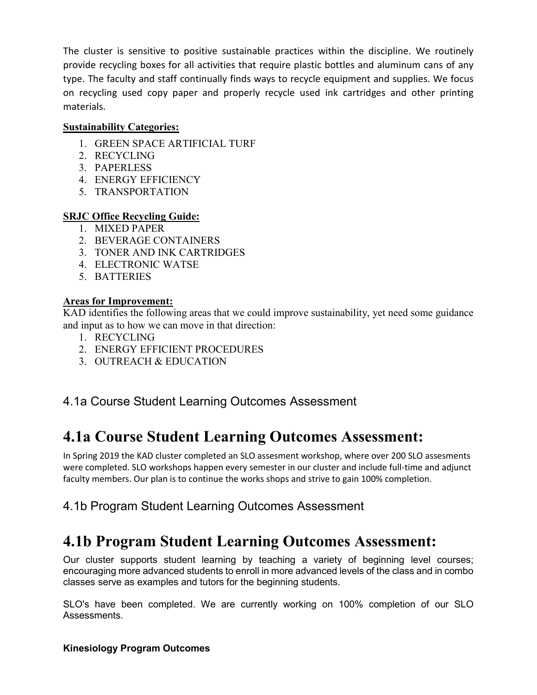The cluster is sensitive to positive sustainable practices within the discipline. We routinely provide recycling boxes for all activities that require plastic bottles and aluminum cans of any type. The faculty and staff continually finds ways to recycle equipment and supplies. We focus on recycling used copy paper and properly recycle used ink cartridges and other printing materials.

#### **Sustainability Categories:**

- 1. GREEN SPACE ARTIFICIAL TURF
- 2. RECYCLING
- 3. PAPERLESS
- 4. ENERGY EFFICIENCY
- 5. TRANSPORTATION

#### **SRJC Office Recycling Guide:**

- 1. MIXED PAPER
- 2. BEVERAGE CONTAINERS
- 3. TONER AND INK CARTRIDGES
- 4. ELECTRONIC WATSE
- 5. BATTERIES

#### **Areas for Improvement:**

KAD identifies the following areas that we could improve sustainability, yet need some guidance and input as to how we can move in that direction:

- 1. RECYCLING
- 2. ENERGY EFFICIENT PROCEDURES
- 3. OUTREACH & EDUCATION

## 4.1a Course Student Learning Outcomes Assessment

## **4.1a Course Student Learning Outcomes Assessment:**

In Spring 2019 the KAD cluster completed an SLO assesment workshop, where over 200 SLO assesments were completed. SLO workshops happen every semester in our cluster and include full-time and adjunct faculty members. Our plan is to continue the works shops and strive to gain 100% completion.

## 4.1b Program Student Learning Outcomes Assessment

## **4.1b Program Student Learning Outcomes Assessment:**

Our cluster supports student learning by teaching a variety of beginning level courses; encouraging more advanced students to enroll in more advanced levels of the class and in combo classes serve as examples and tutors for the beginning students.

SLO's have been completed. We are currently working on 100% completion of our SLO Assessments.

#### **Kinesiology Program Outcomes**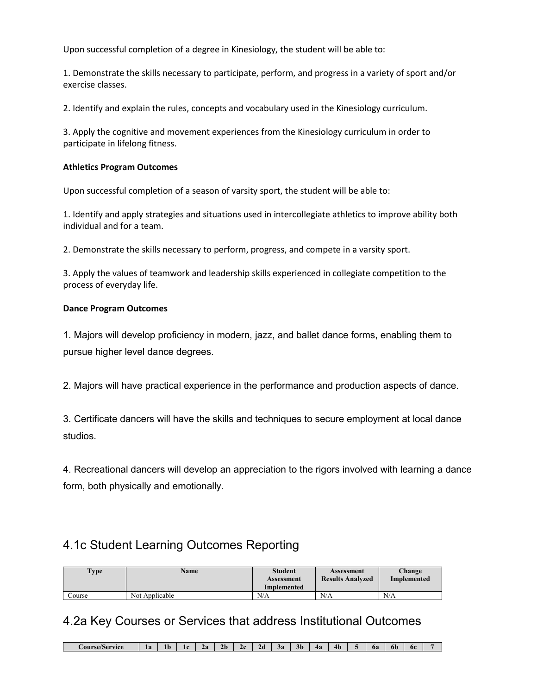Upon successful completion of a degree in Kinesiology, the student will be able to:

1. Demonstrate the skills necessary to participate, perform, and progress in a variety of sport and/or exercise classes.

2. Identify and explain the rules, concepts and vocabulary used in the Kinesiology curriculum.

3. Apply the cognitive and movement experiences from the Kinesiology curriculum in order to participate in lifelong fitness.

#### **Athletics Program Outcomes**

Upon successful completion of a season of varsity sport, the student will be able to:

1. Identify and apply strategies and situations used in intercollegiate athletics to improve ability both individual and for a team.

2. Demonstrate the skills necessary to perform, progress, and compete in a varsity sport.

3. Apply the values of teamwork and leadership skills experienced in collegiate competition to the process of everyday life.

#### **Dance Program Outcomes**

1. Majors will develop proficiency in modern, jazz, and ballet dance forms, enabling them to pursue higher level dance degrees.

2. Majors will have practical experience in the performance and production aspects of dance.

3. Certificate dancers will have the skills and techniques to secure employment at local dance studios.

4. Recreational dancers will develop an appreciation to the rigors involved with learning a dance form, both physically and emotionally.

## 4.1c Student Learning Outcomes Reporting

| <b>Type</b> | <b>Name</b>    | <b>Student</b><br>Assessment<br>Implemented | Assessment<br><b>Results Analyzed</b> | Change<br>Implemented |
|-------------|----------------|---------------------------------------------|---------------------------------------|-----------------------|
| Course      | Not Applicable | N/A                                         | N/A                                   | N/A                   |

### 4.2a Key Courses or Services that address Institutional Outcomes

**Course/Service 1a 1b 1c 2a 2b 2c 2d 3a 3b 4a 4b 5 6a 6b 6c 7**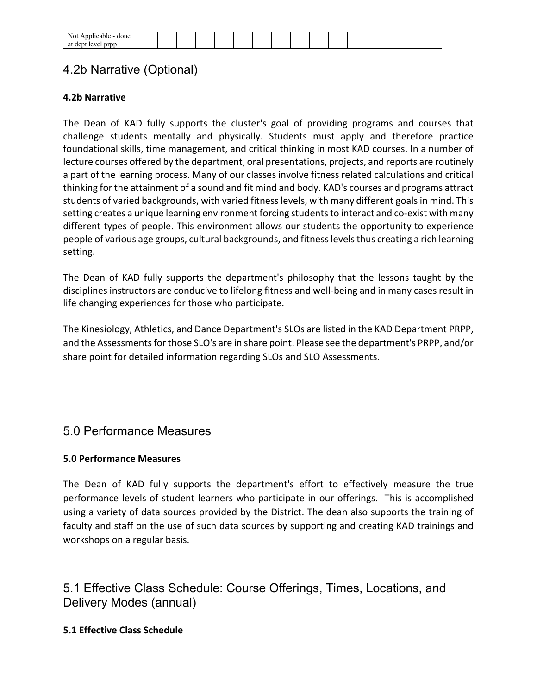| ۱۱ ت              |  |  |  |  |  |  |  |  |
|-------------------|--|--|--|--|--|--|--|--|
| -------<br>$\sim$ |  |  |  |  |  |  |  |  |

## 4.2b Narrative (Optional)

#### **4.2b Narrative**

The Dean of KAD fully supports the cluster's goal of providing programs and courses that challenge students mentally and physically. Students must apply and therefore practice foundational skills, time management, and critical thinking in most KAD courses. In a number of lecture courses offered by the department, oral presentations, projects, and reports are routinely a part of the learning process. Many of our classes involve fitness related calculations and critical thinking for the attainment of a sound and fit mind and body. KAD's courses and programs attract students of varied backgrounds, with varied fitness levels, with many different goals in mind. This setting creates a unique learning environment forcing students to interact and co-exist with many different types of people. This environment allows our students the opportunity to experience people of various age groups, cultural backgrounds, and fitness levels thus creating a rich learning setting.

The Dean of KAD fully supports the department's philosophy that the lessons taught by the disciplines instructors are conducive to lifelong fitness and well-being and in many cases result in life changing experiences for those who participate.

The Kinesiology, Athletics, and Dance Department's SLOs are listed in the KAD Department PRPP, and the Assessments for those SLO's are in share point. Please see the department's PRPP, and/or share point for detailed information regarding SLOs and SLO Assessments.

## 5.0 Performance Measures

#### **5.0 Performance Measures**

The Dean of KAD fully supports the department's effort to effectively measure the true performance levels of student learners who participate in our offerings. This is accomplished using a variety of data sources provided by the District. The dean also supports the training of faculty and staff on the use of such data sources by supporting and creating KAD trainings and workshops on a regular basis.

## 5.1 Effective Class Schedule: Course Offerings, Times, Locations, and Delivery Modes (annual)

#### **5.1 Effective Class Schedule**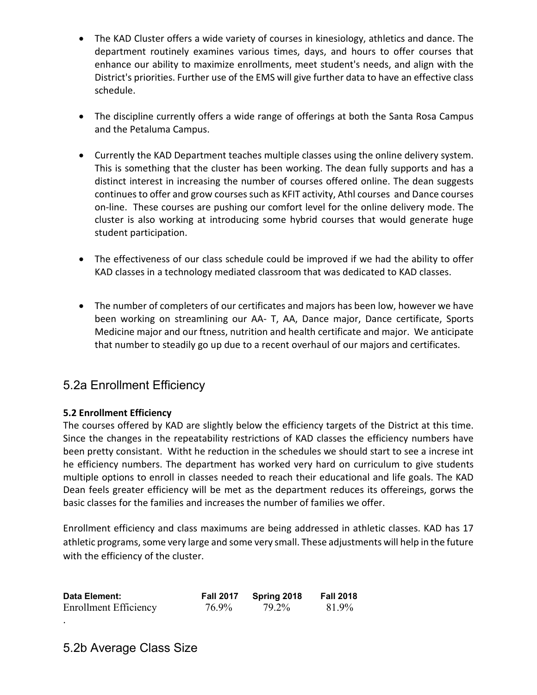- The KAD Cluster offers a wide variety of courses in kinesiology, athletics and dance. The department routinely examines various times, days, and hours to offer courses that enhance our ability to maximize enrollments, meet student's needs, and align with the District's priorities. Further use of the EMS will give further data to have an effective class schedule.
- The discipline currently offers a wide range of offerings at both the Santa Rosa Campus and the Petaluma Campus.
- Currently the KAD Department teaches multiple classes using the online delivery system. This is something that the cluster has been working. The dean fully supports and has a distinct interest in increasing the number of courses offered online. The dean suggests continues to offer and grow courses such as KFIT activity, Athl courses and Dance courses on-line. These courses are pushing our comfort level for the online delivery mode. The cluster is also working at introducing some hybrid courses that would generate huge student participation.
- The effectiveness of our class schedule could be improved if we had the ability to offer KAD classes in a technology mediated classroom that was dedicated to KAD classes.
- The number of completers of our certificates and majors has been low, however we have been working on streamlining our AA- T, AA, Dance major, Dance certificate, Sports Medicine major and our ftness, nutrition and health certificate and major. We anticipate that number to steadily go up due to a recent overhaul of our majors and certificates.

## 5.2a Enrollment Efficiency

#### **5.2 Enrollment Efficiency**

The courses offered by KAD are slightly below the efficiency targets of the District at this time. Since the changes in the repeatability restrictions of KAD classes the efficiency numbers have been pretty consistant. Witht he reduction in the schedules we should start to see a increse int he efficiency numbers. The department has worked very hard on curriculum to give students multiple options to enroll in classes needed to reach their educational and life goals. The KAD Dean feels greater efficiency will be met as the department reduces its offereings, gorws the basic classes for the families and increases the number of families we offer.

Enrollment efficiency and class maximums are being addressed in athletic classes. KAD has 17 athletic programs, some very large and some very small. These adjustments will help in the future with the efficiency of the cluster.

| Data Element:                | <b>Fall 2017</b> | Spring 2018 | <b>Fall 2018</b> |
|------------------------------|------------------|-------------|------------------|
| <b>Enrollment Efficiency</b> | 76.9%            | 79.2%       | 81.9%            |

.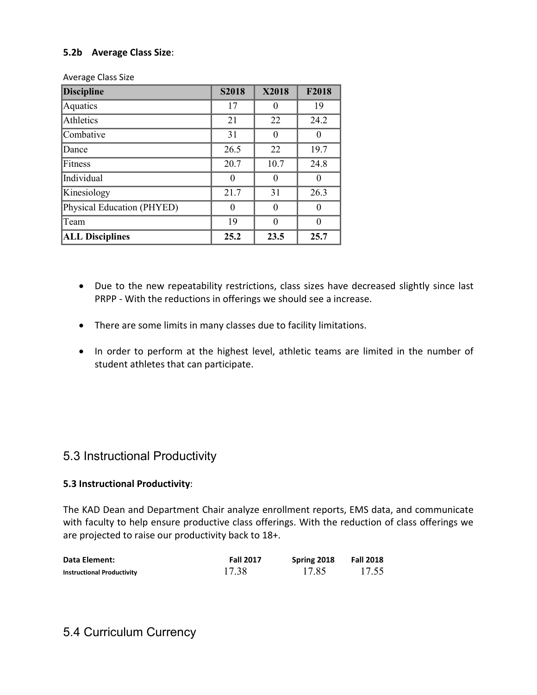#### **5.2b Average Class Size**:

| <b>Discipline</b>          | <b>S2018</b> | <b>X2018</b> | F2018 |
|----------------------------|--------------|--------------|-------|
| Aquatics                   | 17           |              | 19    |
| Athletics                  | 21           | 22           | 24.2  |
| Combative                  | 31           |              |       |
| Dance                      | 26.5         | 22           | 19.7  |
| Fitness                    | 20.7         | 10.7         | 24.8  |
| Individual                 | ∩            |              |       |
| Kinesiology                | 21.7         | 31           | 26.3  |
| Physical Education (PHYED) | 0            |              |       |
| Team                       | 19           |              |       |
| <b>ALL Disciplines</b>     | 25.2         | 23.5         | 25.7  |

Average Class Size

- Due to the new repeatability restrictions, class sizes have decreased slightly since last PRPP - With the reductions in offerings we should see a increase.
- There are some limits in many classes due to facility limitations.
- In order to perform at the highest level, athletic teams are limited in the number of student athletes that can participate.

### 5.3 Instructional Productivity

#### **5.3 Instructional Productivity**:

The KAD Dean and Department Chair analyze enrollment reports, EMS data, and communicate with faculty to help ensure productive class offerings. With the reduction of class offerings we are projected to raise our productivity back to 18+.

| <b>Data Element:</b>              | <b>Fall 2017</b> | Spring 2018 | Fall 2018 |
|-----------------------------------|------------------|-------------|-----------|
| <b>Instructional Productivity</b> | 17.38            | 17.85       | 17.55     |

### 5.4 Curriculum Currency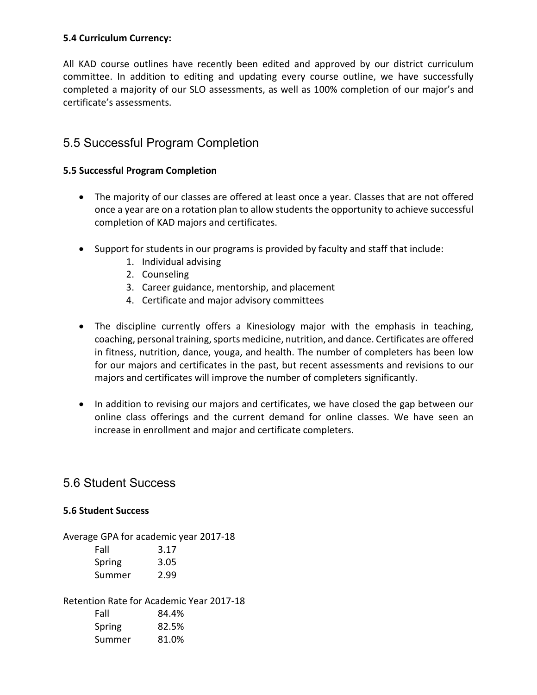#### **5.4 Curriculum Currency:**

All KAD course outlines have recently been edited and approved by our district curriculum committee. In addition to editing and updating every course outline, we have successfully completed a majority of our SLO assessments, as well as 100% completion of our major's and certificate's assessments.

### 5.5 Successful Program Completion

#### **5.5 Successful Program Completion**

- The majority of our classes are offered at least once a year. Classes that are not offered once a year are on a rotation plan to allow students the opportunity to achieve successful completion of KAD majors and certificates.
- Support for students in our programs is provided by faculty and staff that include:
	- 1. Individual advising
	- 2. Counseling
	- 3. Career guidance, mentorship, and placement
	- 4. Certificate and major advisory committees
- The discipline currently offers a Kinesiology major with the emphasis in teaching, coaching, personal training, sports medicine, nutrition, and dance. Certificates are offered in fitness, nutrition, dance, youga, and health. The number of completers has been low for our majors and certificates in the past, but recent assessments and revisions to our majors and certificates will improve the number of completers significantly.
- In addition to revising our majors and certificates, we have closed the gap between our online class offerings and the current demand for online classes. We have seen an increase in enrollment and major and certificate completers.

### 5.6 Student Success

#### **5.6 Student Success**

Average GPA for academic year 2017-18

| Fall   | 3.17 |
|--------|------|
| Spring | 3.05 |
| Summer | 2.99 |

Retention Rate for Academic Year 2017-18

| Fall   | 84.4% |
|--------|-------|
| Spring | 82.5% |
| Summer | 81.0% |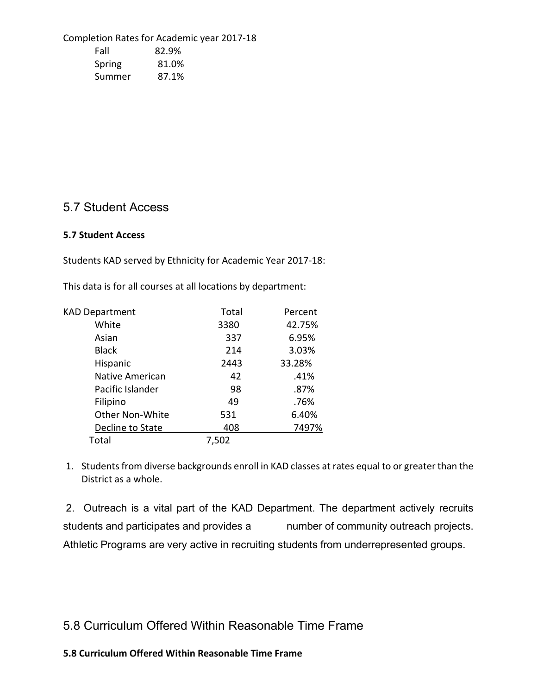Completion Rates for Academic year 2017-18 Fall 82.9% Spring 81.0% Summer 87.1%

### 5.7 Student Access

#### **5.7 Student Access**

Students KAD served by Ethnicity for Academic Year 2017-18:

This data is for all courses at all locations by department:

| <b>KAD Department</b> | Total | Percent |
|-----------------------|-------|---------|
| White                 | 3380  | 42.75%  |
| Asian                 | 337   | 6.95%   |
| <b>Black</b>          | 214   | 3.03%   |
| Hispanic              | 2443  | 33.28%  |
| Native American       | 42    | .41%    |
| Pacific Islander      | 98    | .87%    |
| Filipino              | 49    | .76%    |
| Other Non-White       | 531   | 6.40%   |
| Decline to State      | 408   | 7497%   |
| Total                 | 7,502 |         |

1. Students from diverse backgrounds enroll in KAD classes at rates equal to or greater than the District as a whole.

2. Outreach is a vital part of the KAD Department. The department actively recruits students and participates and provides a number of community outreach projects. Athletic Programs are very active in recruiting students from underrepresented groups.

5.8 Curriculum Offered Within Reasonable Time Frame

#### **5.8 Curriculum Offered Within Reasonable Time Frame**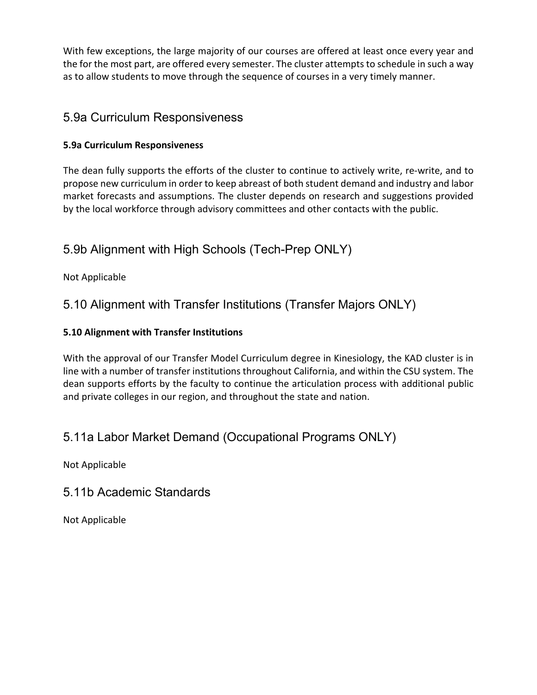With few exceptions, the large majority of our courses are offered at least once every year and the for the most part, are offered every semester. The cluster attempts to schedule in such a way as to allow students to move through the sequence of courses in a very timely manner.

## 5.9a Curriculum Responsiveness

### **5.9a Curriculum Responsiveness**

The dean fully supports the efforts of the cluster to continue to actively write, re-write, and to propose new curriculum in order to keep abreast of both student demand and industry and labor market forecasts and assumptions. The cluster depends on research and suggestions provided by the local workforce through advisory committees and other contacts with the public.

## 5.9b Alignment with High Schools (Tech-Prep ONLY)

Not Applicable

## 5.10 Alignment with Transfer Institutions (Transfer Majors ONLY)

### **5.10 Alignment with Transfer Institutions**

With the approval of our Transfer Model Curriculum degree in Kinesiology, the KAD cluster is in line with a number of transfer institutions throughout California, and within the CSU system. The dean supports efforts by the faculty to continue the articulation process with additional public and private colleges in our region, and throughout the state and nation.

## 5.11a Labor Market Demand (Occupational Programs ONLY)

Not Applicable

## 5.11b Academic Standards

Not Applicable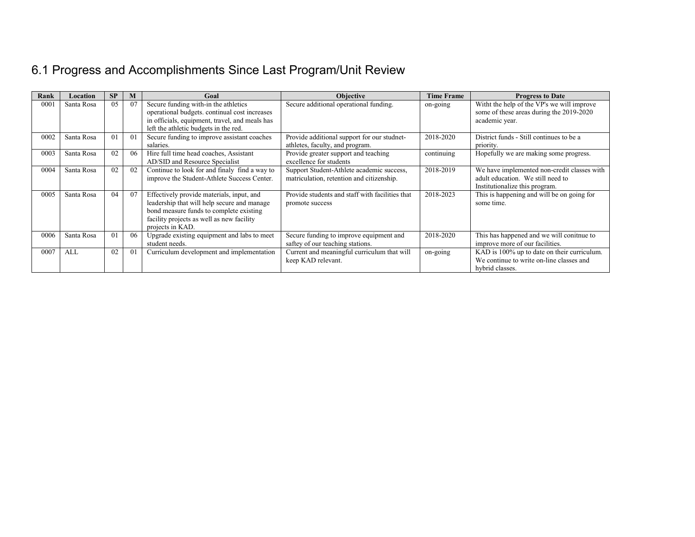# 6.1 Progress and Accomplishments Since Last Program/Unit Review

| Rank | Location   | <b>SP</b> | M              | Goal                                                                                                                                                                                                 | <b>Objective</b>                                                                       | <b>Time Frame</b> | <b>Progress to Date</b>                                                                                            |
|------|------------|-----------|----------------|------------------------------------------------------------------------------------------------------------------------------------------------------------------------------------------------------|----------------------------------------------------------------------------------------|-------------------|--------------------------------------------------------------------------------------------------------------------|
| 000  | Santa Rosa | 0.5       | 07             | Secure funding with-in the athletics<br>operational budgets. continual cost increases<br>in officials, equipment, travel, and meals has<br>left the athletic budgets in the red.                     | Secure additional operational funding.                                                 | on-going          | With the help of the VP's we will improve<br>some of these areas during the 2019-2020<br>academic year.            |
| 0002 | Santa Rosa | 01        | 0 <sub>1</sub> | Secure funding to improve assistant coaches<br>salaries.                                                                                                                                             | Provide additional support for our studnet-<br>athletes, faculty, and program.         | 2018-2020         | District funds - Still continues to be a<br>priority.                                                              |
| 0003 | Santa Rosa | 02        | 06             | Hire full time head coaches, Assistant<br>AD/SID and Resource Specialist                                                                                                                             | Provide greater support and teaching<br>excellence for students                        | continuing        | Hopefully we are making some progress.                                                                             |
| 0004 | Santa Rosa | 02        | 02             | Continue to look for and finaly find a way to<br>improve the Student-Athlete Success Center.                                                                                                         | Support Student-Athlete academic success,<br>matriculation, retention and citizenship. | 2018-2019         | We have implemented non-credit classes with<br>adult education. We still need to<br>Institutionalize this program. |
| 0005 | Santa Rosa | 04        | 07             | Effectively provide materials, input, and<br>leadership that will help secure and manage<br>bond measure funds to complete existing<br>facility projects as well as new facility<br>projects in KAD. | Provide students and staff with facilities that<br>promote success                     | 2018-2023         | This is happening and will be on going for<br>some time.                                                           |
| 0006 | Santa Rosa | 01        | 06             | Upgrade existing equipment and labs to meet<br>student needs.                                                                                                                                        | Secure funding to improve equipment and<br>saftey of our teaching stations.            | 2018-2020         | This has happened and we will conitnue to<br>improve more of our facilities.                                       |
| 0007 | ALL        | 02        | 0 <sub>1</sub> | Curriculum development and implementation                                                                                                                                                            | Current and meaningful curriculum that will<br>keep KAD relevant.                      | on-going          | KAD is 100% up to date on their curriculum.<br>We continue to write on-line classes and<br>hybrid classes.         |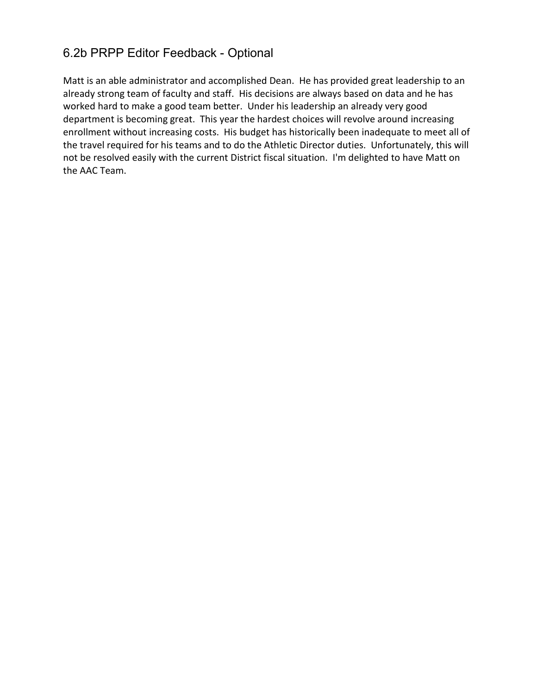## 6.2b PRPP Editor Feedback - Optional

Matt is an able administrator and accomplished Dean. He has provided great leadership to an already strong team of faculty and staff. His decisions are always based on data and he has worked hard to make a good team better. Under his leadership an already very good department is becoming great. This year the hardest choices will revolve around increasing enrollment without increasing costs. His budget has historically been inadequate to meet all of the travel required for his teams and to do the Athletic Director duties. Unfortunately, this will not be resolved easily with the current District fiscal situation. I'm delighted to have Matt on the AAC Team.